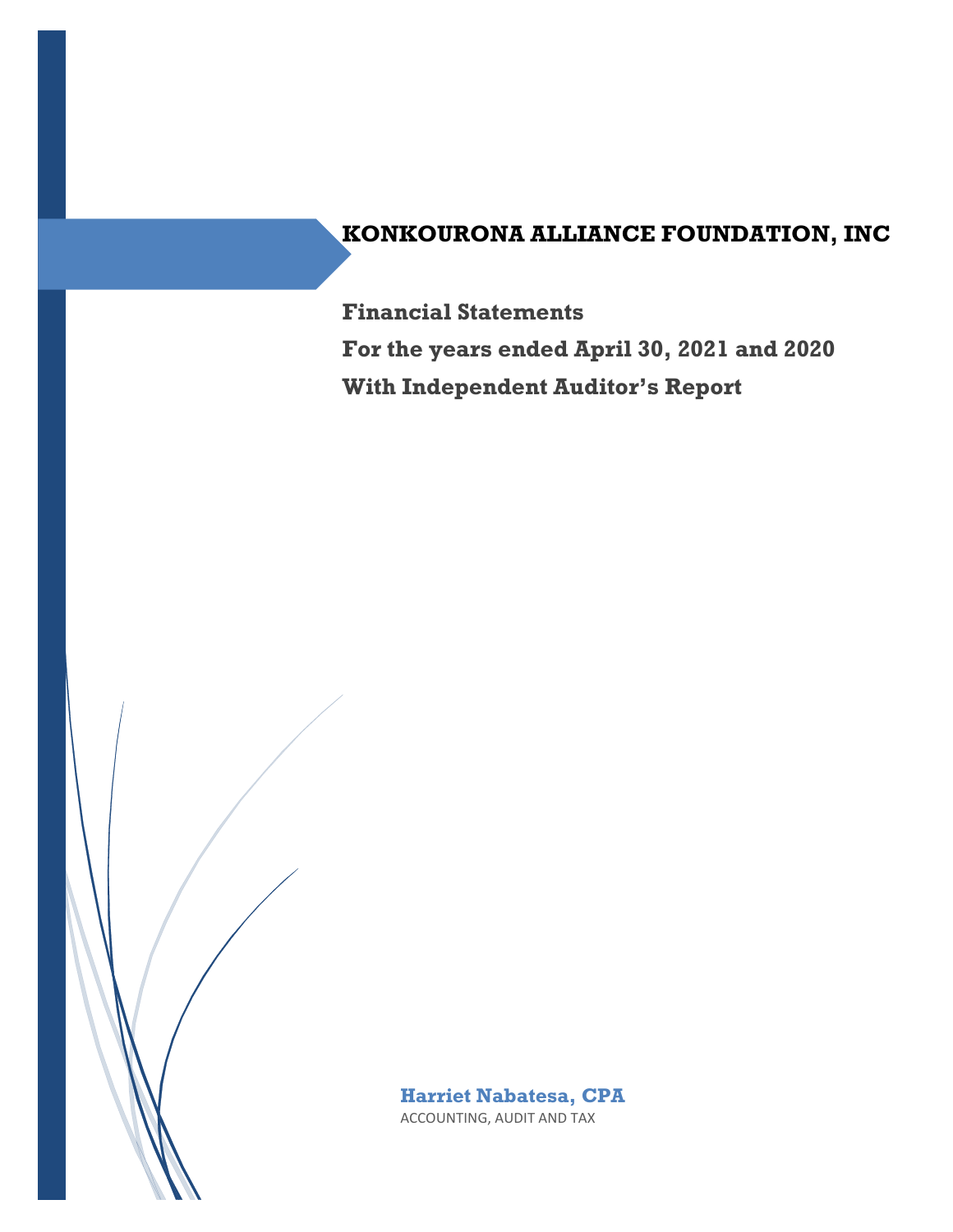**Financial Statements For the years ended April 30, 2021 and 2020 With Independent Auditor's Report**

**Harriet Nabatesa, CPA**

ACCOUNTING, AUDIT AND TAX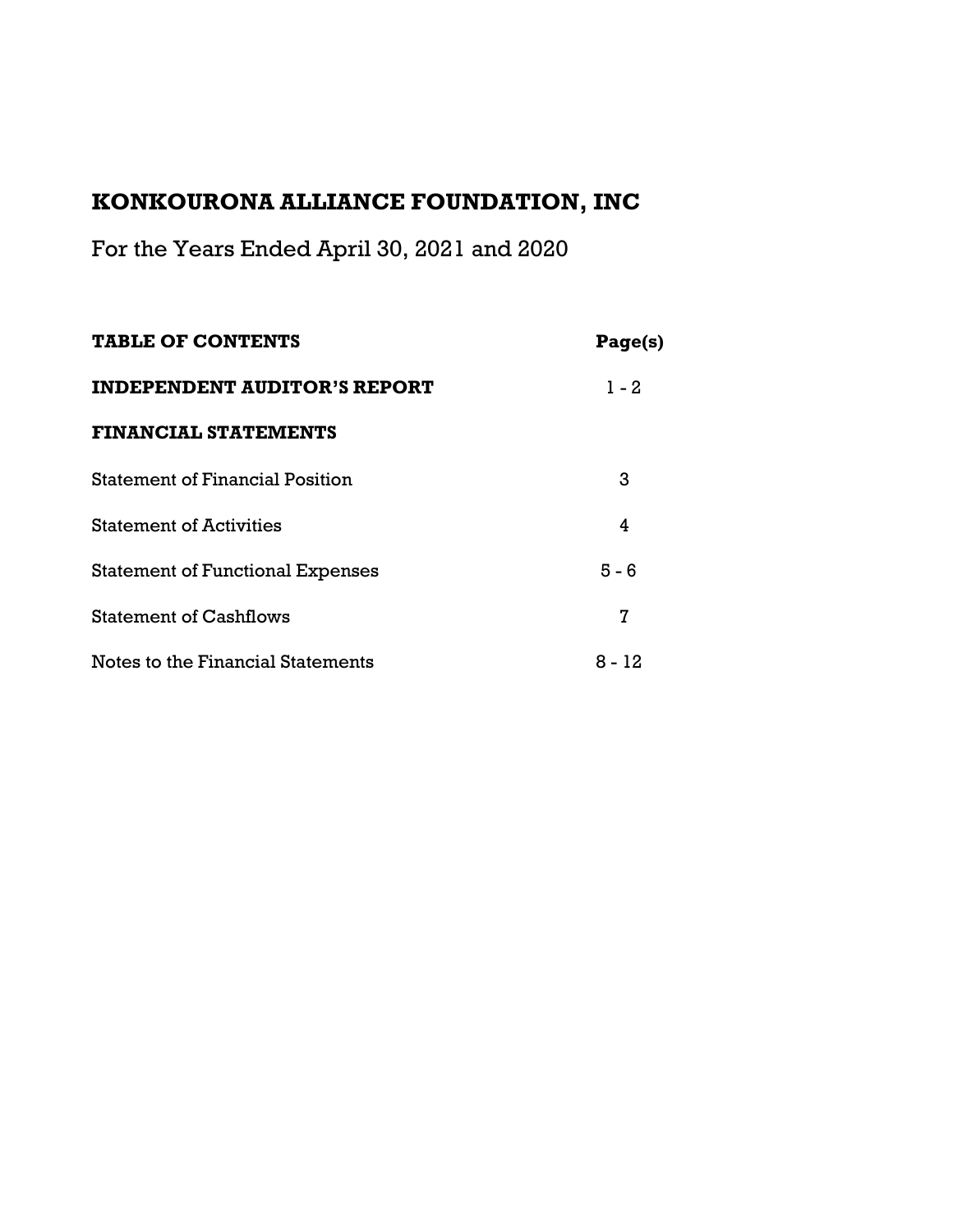For the Years Ended April 30, 2021 and 2020

| <b>TABLE OF CONTENTS</b>                | Page(s) |
|-----------------------------------------|---------|
| <b>INDEPENDENT AUDITOR'S REPORT</b>     | 1 - 2   |
| <b>FINANCIAL STATEMENTS</b>             |         |
| <b>Statement of Financial Position</b>  | 3       |
| <b>Statement of Activities</b>          | 4       |
| <b>Statement of Functional Expenses</b> | 5 - 6   |
| <b>Statement of Cashflows</b>           | 7       |
| Notes to the Financial Statements       | 8 - 12  |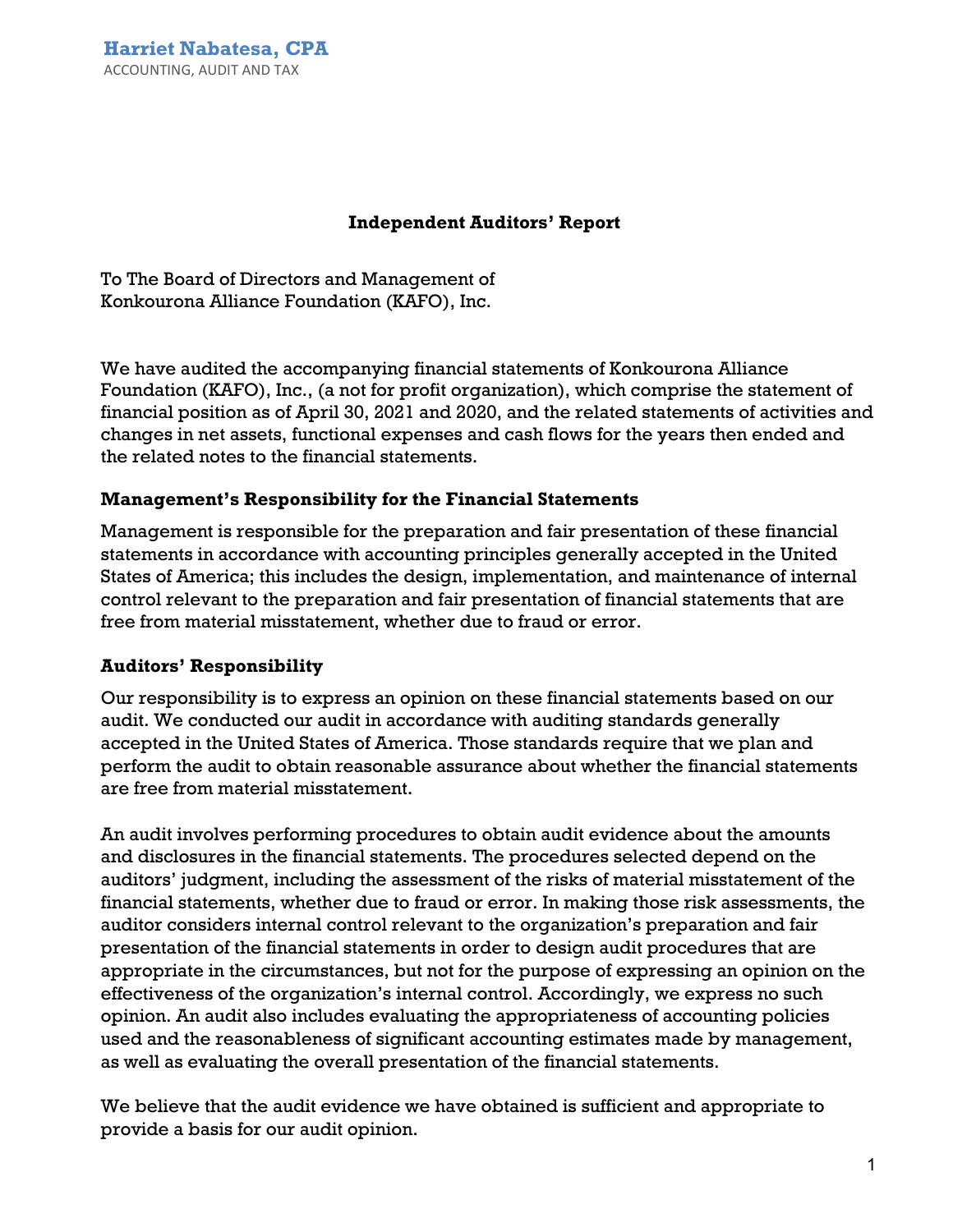### **Independent Auditors' Report**

To The Board of Directors and Management of Konkourona Alliance Foundation (KAFO), Inc.

We have audited the accompanying financial statements of Konkourona Alliance Foundation (KAFO), Inc., (a not for profit organization), which comprise the statement of financial position as of April 30, 2021 and 2020, and the related statements of activities and changes in net assets, functional expenses and cash flows for the years then ended and the related notes to the financial statements.

#### **Management's Responsibility for the Financial Statements**

Management is responsible for the preparation and fair presentation of these financial statements in accordance with accounting principles generally accepted in the United States of America; this includes the design, implementation, and maintenance of internal control relevant to the preparation and fair presentation of financial statements that are free from material misstatement, whether due to fraud or error.

#### **Auditors' Responsibility**

Our responsibility is to express an opinion on these financial statements based on our audit. We conducted our audit in accordance with auditing standards generally accepted in the United States of America. Those standards require that we plan and perform the audit to obtain reasonable assurance about whether the financial statements are free from material misstatement.

An audit involves performing procedures to obtain audit evidence about the amounts and disclosures in the financial statements. The procedures selected depend on the auditors' judgment, including the assessment of the risks of material misstatement of the financial statements, whether due to fraud or error. In making those risk assessments, the auditor considers internal control relevant to the organization's preparation and fair presentation of the financial statements in order to design audit procedures that are appropriate in the circumstances, but not for the purpose of expressing an opinion on the effectiveness of the organization's internal control. Accordingly, we express no such opinion. An audit also includes evaluating the appropriateness of accounting policies used and the reasonableness of significant accounting estimates made by management, as well as evaluating the overall presentation of the financial statements.

We believe that the audit evidence we have obtained is sufficient and appropriate to provide a basis for our audit opinion.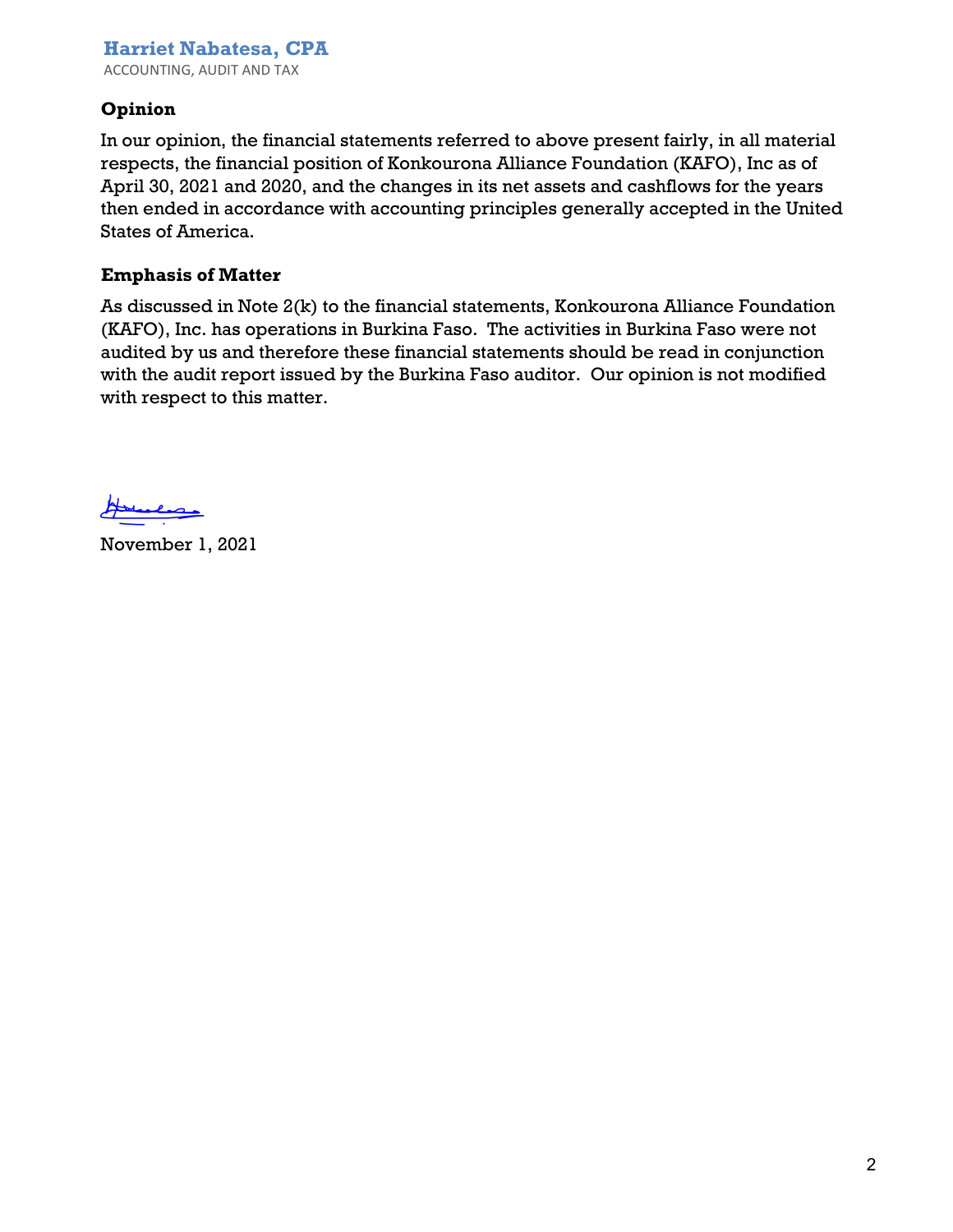# **Harriet Nabatesa, CPA**

ACCOUNTING, AUDIT AND TAX

### **Opinion**

In our opinion, the financial statements referred to above present fairly, in all material respects, the financial position of Konkourona Alliance Foundation (KAFO), Inc as of April 30, 2021 and 2020, and the changes in its net assets and cashflows for the years then ended in accordance with accounting principles generally accepted in the United States of America.

#### **Emphasis of Matter**

As discussed in Note 2(k) to the financial statements, Konkourona Alliance Foundation (KAFO), Inc. has operations in Burkina Faso. The activities in Burkina Faso were not audited by us and therefore these financial statements should be read in conjunction with the audit report issued by the Burkina Faso auditor. Our opinion is not modified with respect to this matter.

November 1, 2021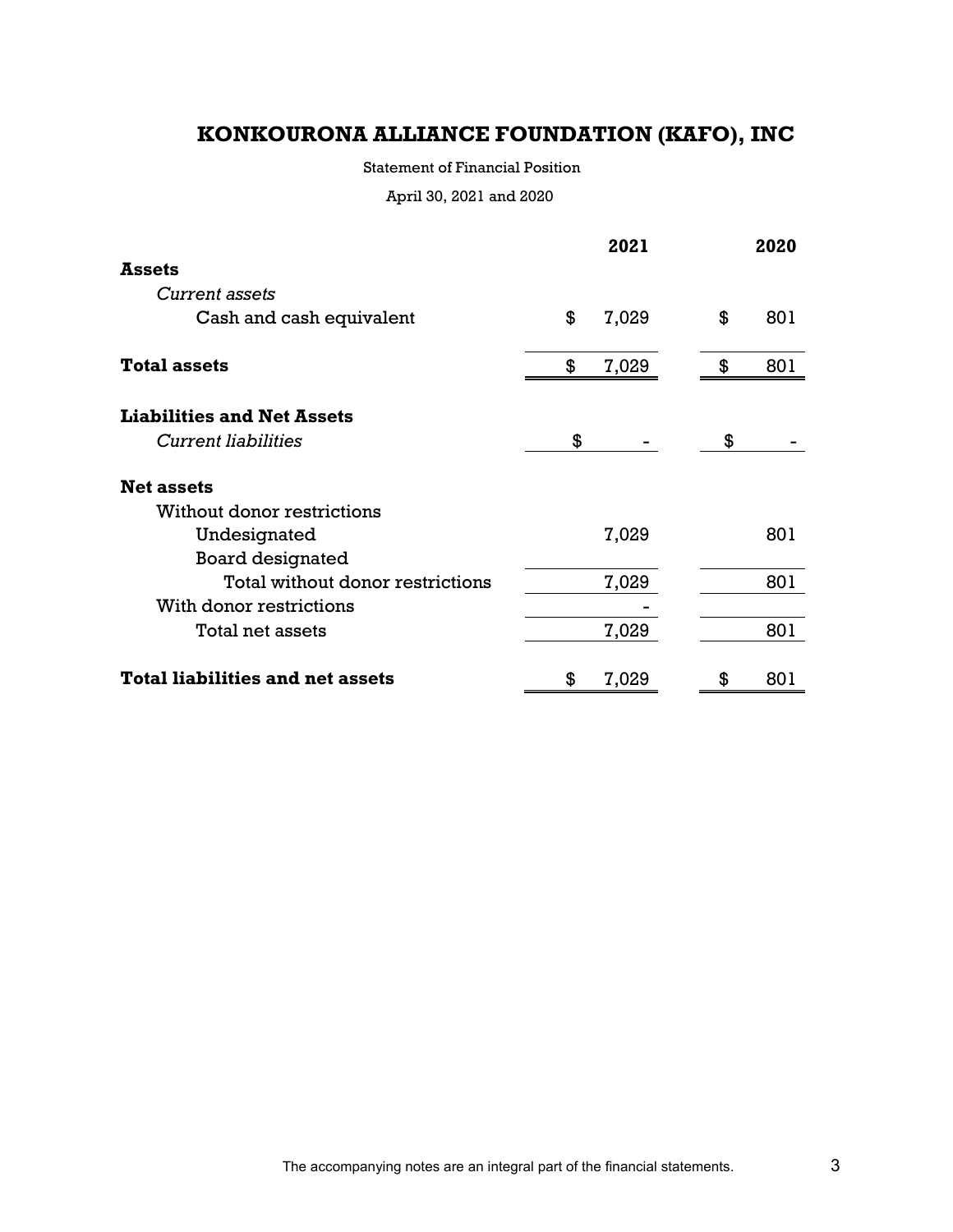Statement of Financial Position

April 30, 2021 and 2020

|                                         |    | 2021  |    | 2020 |
|-----------------------------------------|----|-------|----|------|
| <b>Assets</b>                           |    |       |    |      |
| Current assets                          |    |       |    |      |
| Cash and cash equivalent                | \$ | 7,029 | \$ | 801  |
| <b>Total assets</b>                     | \$ | 7,029 | \$ | 801  |
| <b>Liabilities and Net Assets</b>       |    |       |    |      |
| <b>Current liabilities</b>              | \$ |       | \$ |      |
| <b>Net assets</b>                       |    |       |    |      |
| Without donor restrictions              |    |       |    |      |
| Undesignated                            |    | 7,029 |    | 801  |
| <b>Board designated</b>                 |    |       |    |      |
| Total without donor restrictions        |    | 7,029 |    | 801  |
| With donor restrictions                 |    |       |    |      |
| Total net assets                        |    | 7,029 |    | 801  |
|                                         |    |       |    |      |
| <b>Total liabilities and net assets</b> | S  | 7,029 | \$ | 801  |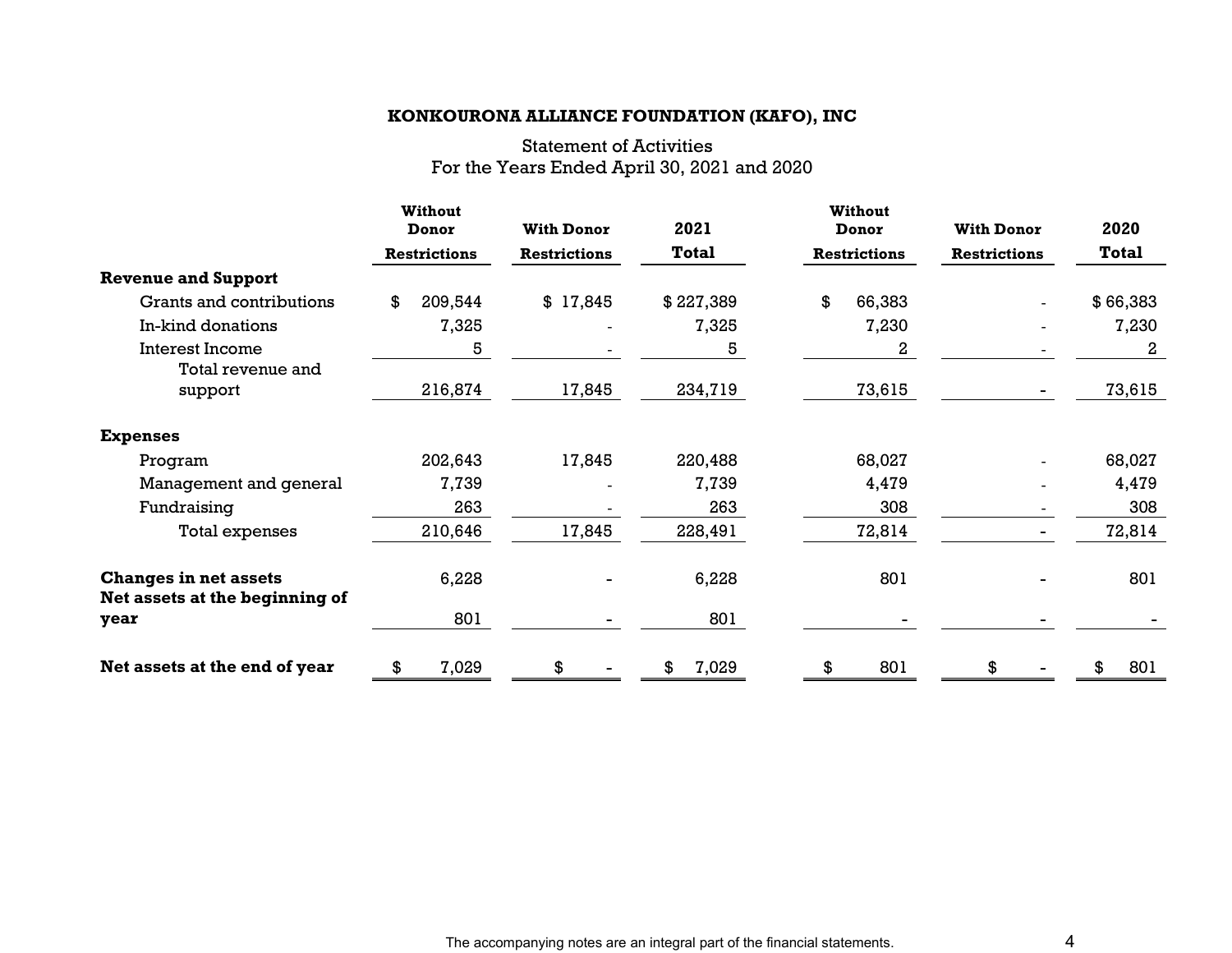### Statement of Activities For the Years Ended April 30, 2021 and 2020

|                                                                | <b>Without</b>                      |                                          | 2021         | Without                             |                                          | 2020         |
|----------------------------------------------------------------|-------------------------------------|------------------------------------------|--------------|-------------------------------------|------------------------------------------|--------------|
|                                                                | <b>Donor</b><br><b>Restrictions</b> | <b>With Donor</b><br><b>Restrictions</b> | <b>Total</b> | <b>Donor</b><br><b>Restrictions</b> | <b>With Donor</b><br><b>Restrictions</b> | <b>Total</b> |
| <b>Revenue and Support</b>                                     |                                     |                                          |              |                                     |                                          |              |
| Grants and contributions                                       | 209,544<br>\$                       | \$17,845                                 | \$227,389    | \$<br>66,383                        |                                          | \$66,383     |
| In-kind donations                                              | 7,325                               |                                          | 7,325        | 7,230                               |                                          | 7,230        |
| <b>Interest Income</b>                                         | 5                                   |                                          | 5            | 2                                   |                                          | 2            |
| Total revenue and                                              |                                     |                                          |              |                                     |                                          |              |
| support                                                        | 216,874                             | 17,845                                   | 234,719      | 73,615                              |                                          | 73,615       |
| <b>Expenses</b>                                                |                                     |                                          |              |                                     |                                          |              |
| Program                                                        | 202,643                             | 17,845                                   | 220,488      | 68,027                              |                                          | 68,027       |
| Management and general                                         | 7,739                               |                                          | 7,739        | 4,479                               |                                          | 4,479        |
| Fundraising                                                    | 263                                 |                                          | 263          | 308                                 |                                          | 308          |
| Total expenses                                                 | 210,646                             | 17,845                                   | 228,491      | 72,814                              |                                          | 72,814       |
| <b>Changes in net assets</b><br>Net assets at the beginning of | 6,228                               |                                          | 6,228        | 801                                 |                                          | 801          |
| year                                                           | 801                                 |                                          | 801          |                                     |                                          |              |
| Net assets at the end of year                                  | 7,029<br>\$                         | \$                                       | 7,029<br>\$  | 801                                 | \$                                       | 801          |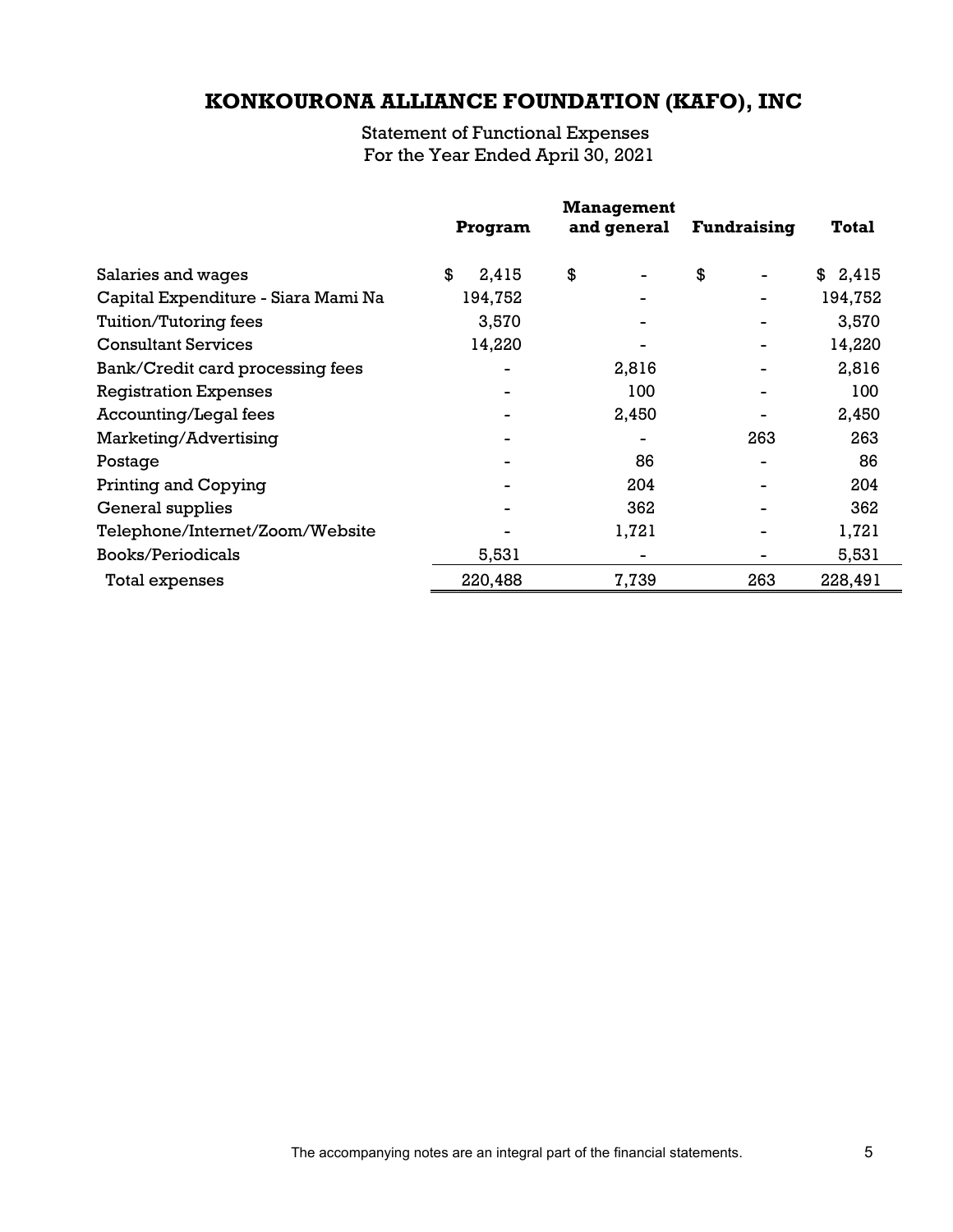Statement of Functional Expenses For the Year Ended April 30, 2021

|                                     | Program     | <b>Management</b><br>and general |     | Total   |
|-------------------------------------|-------------|----------------------------------|-----|---------|
| Salaries and wages                  | \$<br>2,415 | \$                               | \$  | \$2,415 |
| Capital Expenditure - Siara Mami Na | 194,752     |                                  |     | 194,752 |
| <b>Tuition/Tutoring fees</b>        | 3,570       |                                  |     | 3,570   |
| <b>Consultant Services</b>          | 14,220      |                                  |     | 14,220  |
| Bank/Credit card processing fees    |             | 2,816                            |     | 2,816   |
| <b>Registration Expenses</b>        |             | 100                              |     | 100     |
| Accounting/Legal fees               |             | 2,450                            |     | 2,450   |
| Marketing/Advertising               |             |                                  | 263 | 263     |
| Postage                             |             | 86                               |     | 86      |
| Printing and Copying                |             | 204                              |     | 204     |
| General supplies                    |             | 362                              |     | 362     |
| Telephone/Internet/Zoom/Website     |             | 1,721                            |     | 1,721   |
| Books/Periodicals                   | 5,531       |                                  |     | 5,531   |
| Total expenses                      | 220,488     | 7,739                            | 263 | 228,491 |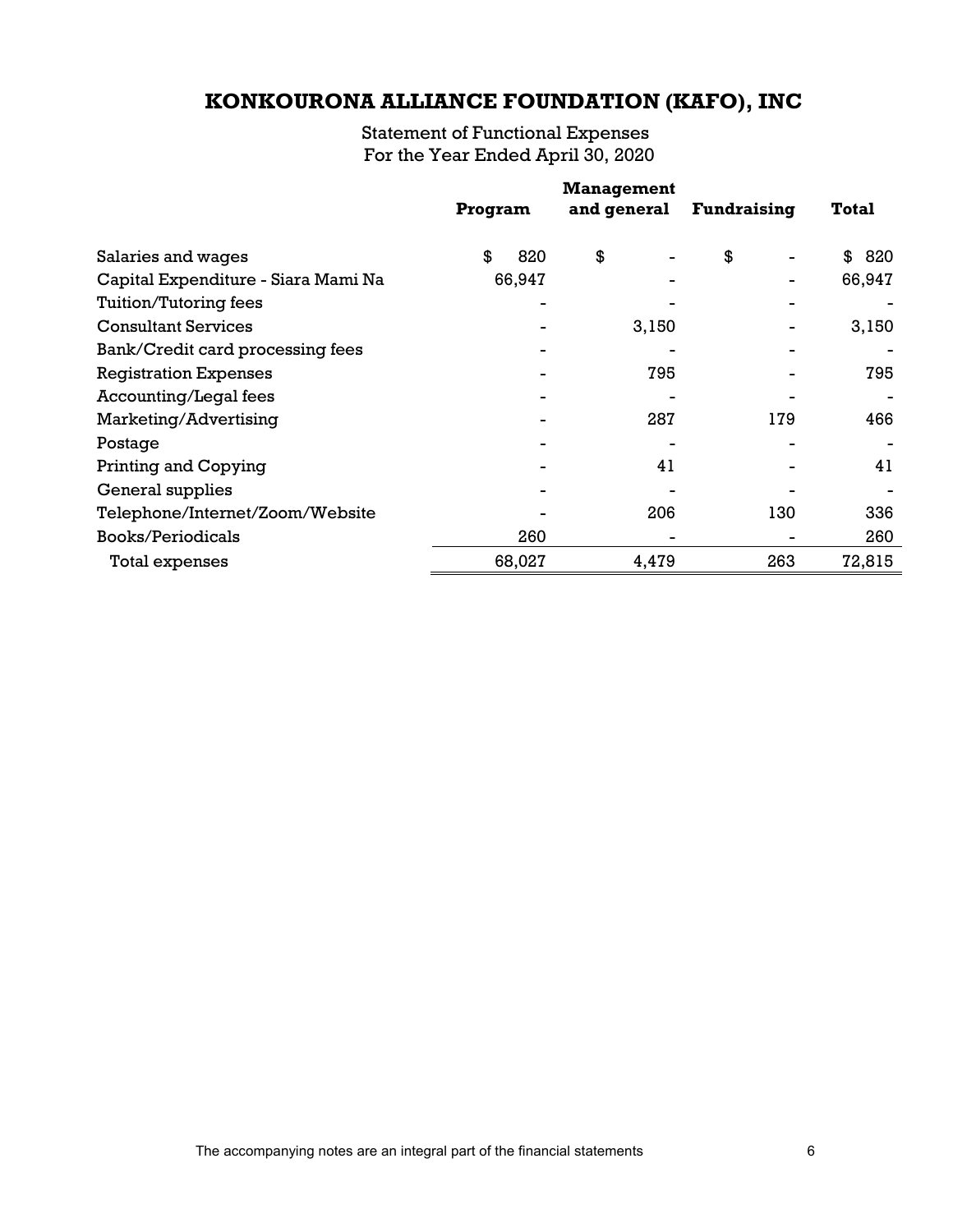Statement of Functional Expenses For the Year Ended April 30, 2020

|                                     | <b>Management</b><br>and general<br>Program |       | <b>Fundraising</b>             | Total     |  |
|-------------------------------------|---------------------------------------------|-------|--------------------------------|-----------|--|
|                                     |                                             |       |                                |           |  |
| Salaries and wages                  | \$<br>820                                   | \$    | \$<br>$\overline{\phantom{a}}$ | \$<br>820 |  |
| Capital Expenditure - Siara Mami Na | 66,947                                      |       |                                | 66,947    |  |
| <b>Tuition/Tutoring fees</b>        |                                             |       |                                |           |  |
| <b>Consultant Services</b>          |                                             | 3,150 |                                | 3,150     |  |
| Bank/Credit card processing fees    |                                             |       |                                |           |  |
| <b>Registration Expenses</b>        |                                             | 795   |                                | 795       |  |
| Accounting/Legal fees               |                                             |       |                                |           |  |
| Marketing/Advertising               |                                             | 287   | 179                            | 466       |  |
| Postage                             |                                             |       |                                |           |  |
| Printing and Copying                |                                             | 41    |                                | 41        |  |
| General supplies                    |                                             |       |                                |           |  |
| Telephone/Internet/Zoom/Website     |                                             | 206   | 130                            | 336       |  |
| <b>Books/Periodicals</b>            | 260                                         |       |                                | 260       |  |
| Total expenses                      | 68,027                                      | 4,479 | 263                            | 72,815    |  |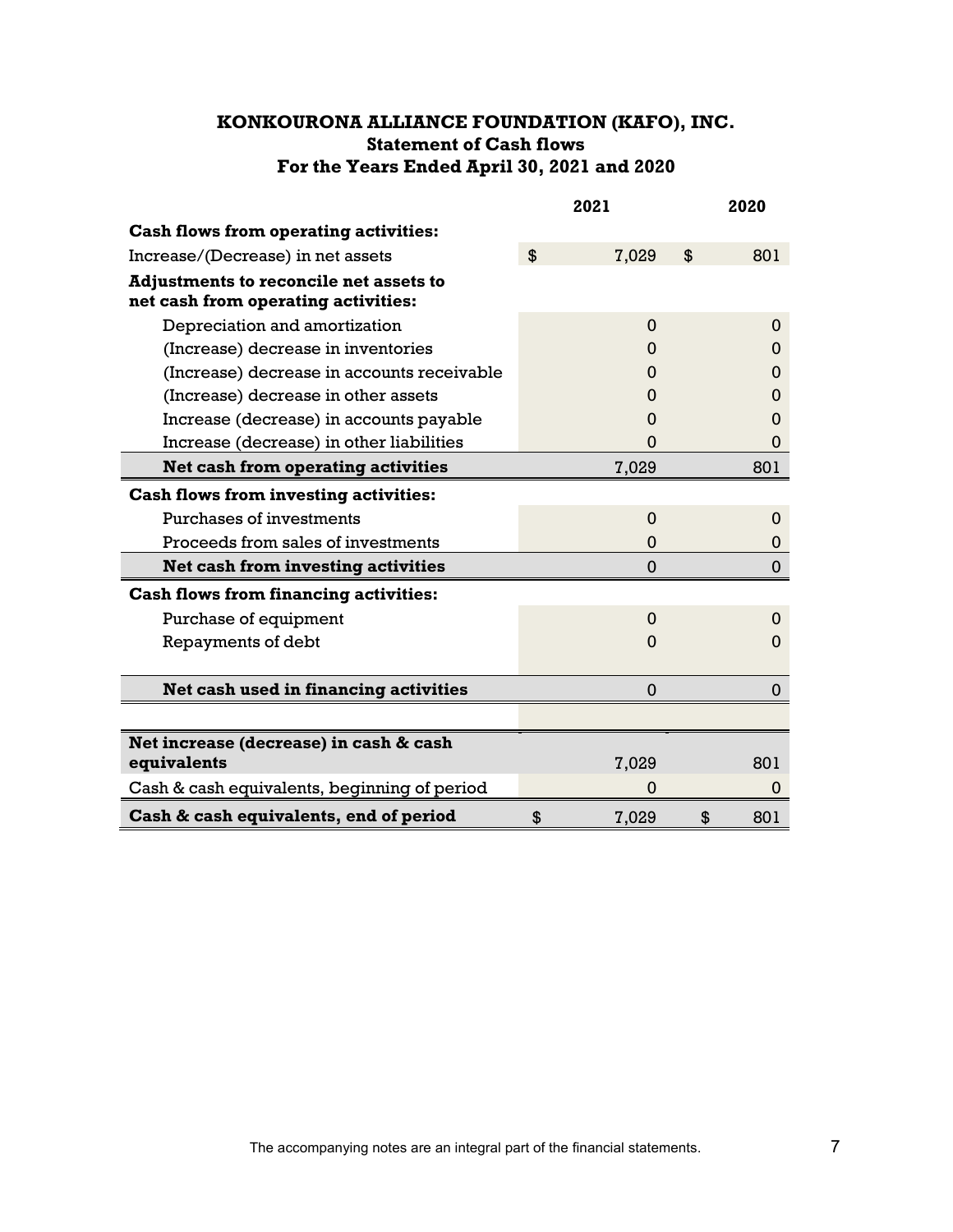### **KONKOURONA ALLIANCE FOUNDATION (KAFO), INC. Statement of Cash flows For the Years Ended April 30, 2021 and 2020**

|                                                                                      | 2021          |          |    | 2020     |
|--------------------------------------------------------------------------------------|---------------|----------|----|----------|
| <b>Cash flows from operating activities:</b>                                         |               |          |    |          |
| Increase/(Decrease) in net assets                                                    | $\mathbf{\$}$ | 7,029    | \$ | 801      |
| <b>Adjustments to reconcile net assets to</b><br>net cash from operating activities: |               |          |    |          |
| Depreciation and amortization                                                        |               | $\Omega$ |    | 0        |
| (Increase) decrease in inventories                                                   |               | 0        |    | 0        |
| (Increase) decrease in accounts receivable                                           |               | 0        |    | 0        |
| (Increase) decrease in other assets                                                  |               | O        |    | 0        |
| Increase (decrease) in accounts payable                                              |               | O        |    | 0        |
| Increase (decrease) in other liabilities                                             |               | 0        |    | 0        |
| Net cash from operating activities                                                   |               | 7,029    |    | 801      |
| <b>Cash flows from investing activities:</b>                                         |               |          |    |          |
| Purchases of investments                                                             |               | 0        |    | 0        |
| Proceeds from sales of investments                                                   |               | $\Omega$ |    | 0        |
| <b>Net cash from investing activities</b>                                            |               | $\Omega$ |    | 0        |
| <b>Cash flows from financing activities:</b>                                         |               |          |    |          |
| Purchase of equipment                                                                |               | 0        |    | 0        |
| Repayments of debt                                                                   |               | $\Omega$ |    | $\Omega$ |
|                                                                                      |               |          |    |          |
| Net cash used in financing activities                                                |               | $\Omega$ |    | 0        |
|                                                                                      |               |          |    |          |
| Net increase (decrease) in cash & cash                                               |               |          |    |          |
| equivalents                                                                          |               | 7,029    |    | 801      |
| Cash & cash equivalents, beginning of period                                         |               | 0        |    | 0        |
| Cash & cash equivalents, end of period                                               | \$            | 7,029    | \$ | 801      |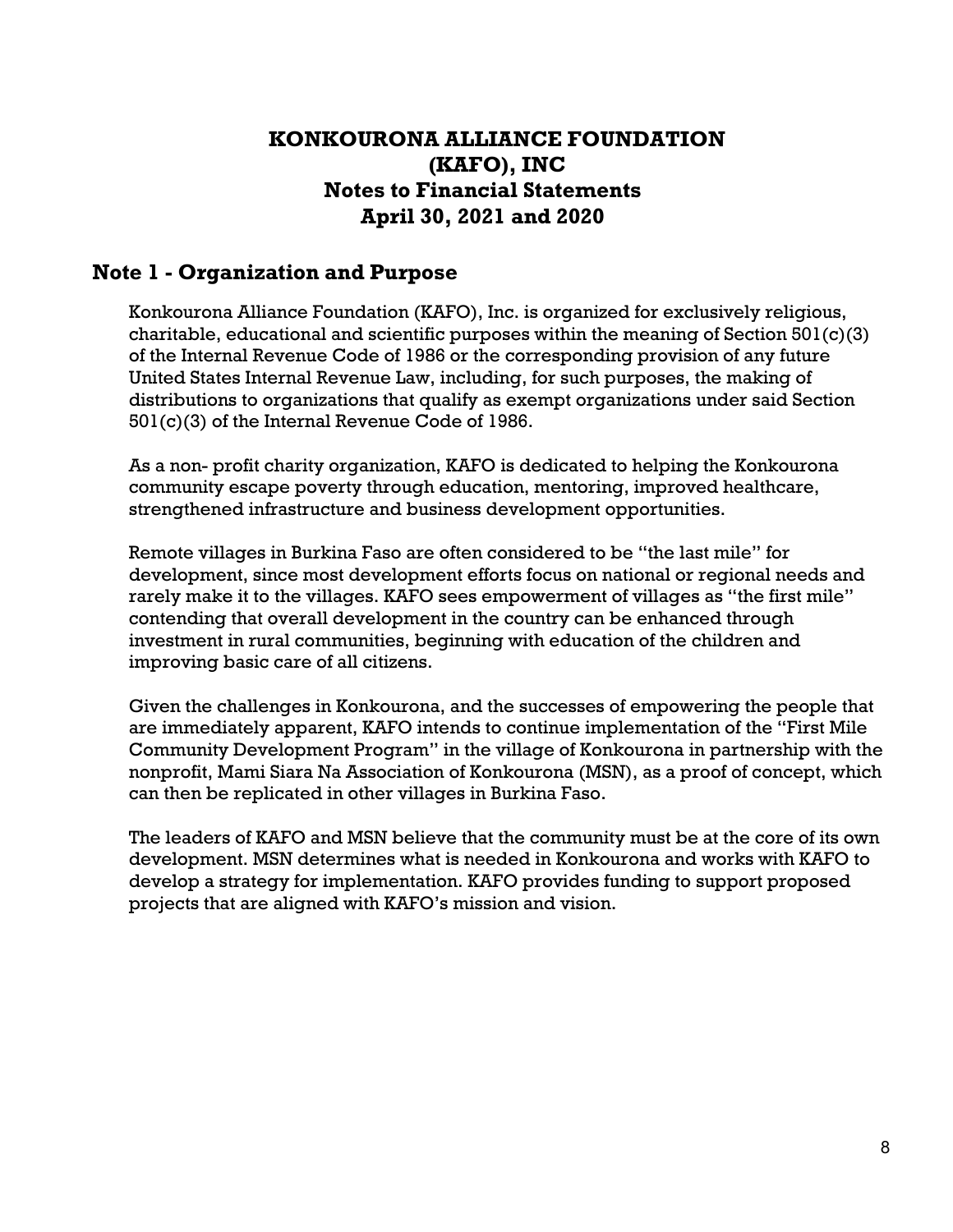# **Note 1 - Organization and Purpose**

Konkourona Alliance Foundation (KAFO), Inc. is organized for exclusively religious, charitable, educational and scientific purposes within the meaning of Section  $501(c)(3)$ of the Internal Revenue Code of 1986 or the corresponding provision of any future United States Internal Revenue Law, including, for such purposes, the making of distributions to organizations that qualify as exempt organizations under said Section 501(c)(3) of the Internal Revenue Code of 1986.

As a non- profit charity organization, KAFO is dedicated to helping the Konkourona community escape poverty through education, mentoring, improved healthcare, strengthened infrastructure and business development opportunities.

Remote villages in Burkina Faso are often considered to be "the last mile" for development, since most development efforts focus on national or regional needs and rarely make it to the villages. KAFO sees empowerment of villages as "the first mile" contending that overall development in the country can be enhanced through investment in rural communities, beginning with education of the children and improving basic care of all citizens.

Given the challenges in Konkourona, and the successes of empowering the people that are immediately apparent, KAFO intends to continue implementation of the "First Mile Community Development Program" in the village of Konkourona in partnership with the nonprofit, Mami Siara Na Association of Konkourona (MSN), as a proof of concept, which can then be replicated in other villages in Burkina Faso.

The leaders of KAFO and MSN believe that the community must be at the core of its own development. MSN determines what is needed in Konkourona and works with KAFO to develop a strategy for implementation. KAFO provides funding to support proposed projects that are aligned with KAFO's mission and vision.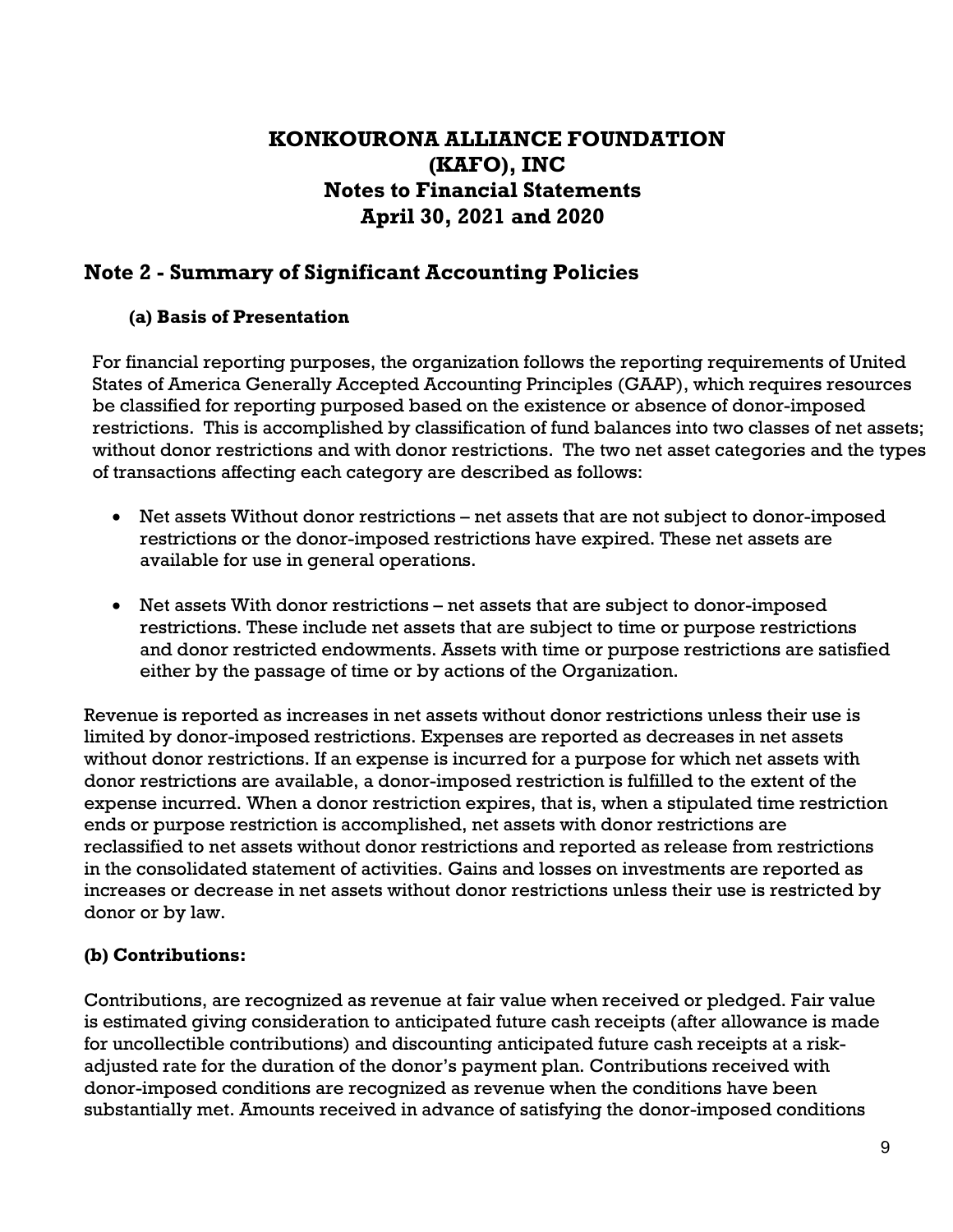# **Note 2 - Summary of Significant Accounting Policies**

### **(a) Basis of Presentation**

For financial reporting purposes, the organization follows the reporting requirements of United States of America Generally Accepted Accounting Principles (GAAP), which requires resources be classified for reporting purposed based on the existence or absence of donor-imposed restrictions. This is accomplished by classification of fund balances into two classes of net assets; without donor restrictions and with donor restrictions. The two net asset categories and the types of transactions affecting each category are described as follows:

- Net assets Without donor restrictions net assets that are not subject to donor-imposed restrictions or the donor-imposed restrictions have expired. These net assets are available for use in general operations.
- Net assets With donor restrictions net assets that are subject to donor-imposed restrictions. These include net assets that are subject to time or purpose restrictions and donor restricted endowments. Assets with time or purpose restrictions are satisfied either by the passage of time or by actions of the Organization.

Revenue is reported as increases in net assets without donor restrictions unless their use is limited by donor-imposed restrictions. Expenses are reported as decreases in net assets without donor restrictions. If an expense is incurred for a purpose for which net assets with donor restrictions are available, a donor-imposed restriction is fulfilled to the extent of the expense incurred. When a donor restriction expires, that is, when a stipulated time restriction ends or purpose restriction is accomplished, net assets with donor restrictions are reclassified to net assets without donor restrictions and reported as release from restrictions in the consolidated statement of activities. Gains and losses on investments are reported as increases or decrease in net assets without donor restrictions unless their use is restricted by donor or by law.

# **(b) Contributions:**

Contributions, are recognized as revenue at fair value when received or pledged. Fair value is estimated giving consideration to anticipated future cash receipts (after allowance is made for uncollectible contributions) and discounting anticipated future cash receipts at a riskadjusted rate for the duration of the donor's payment plan. Contributions received with donor-imposed conditions are recognized as revenue when the conditions have been substantially met. Amounts received in advance of satisfying the donor-imposed conditions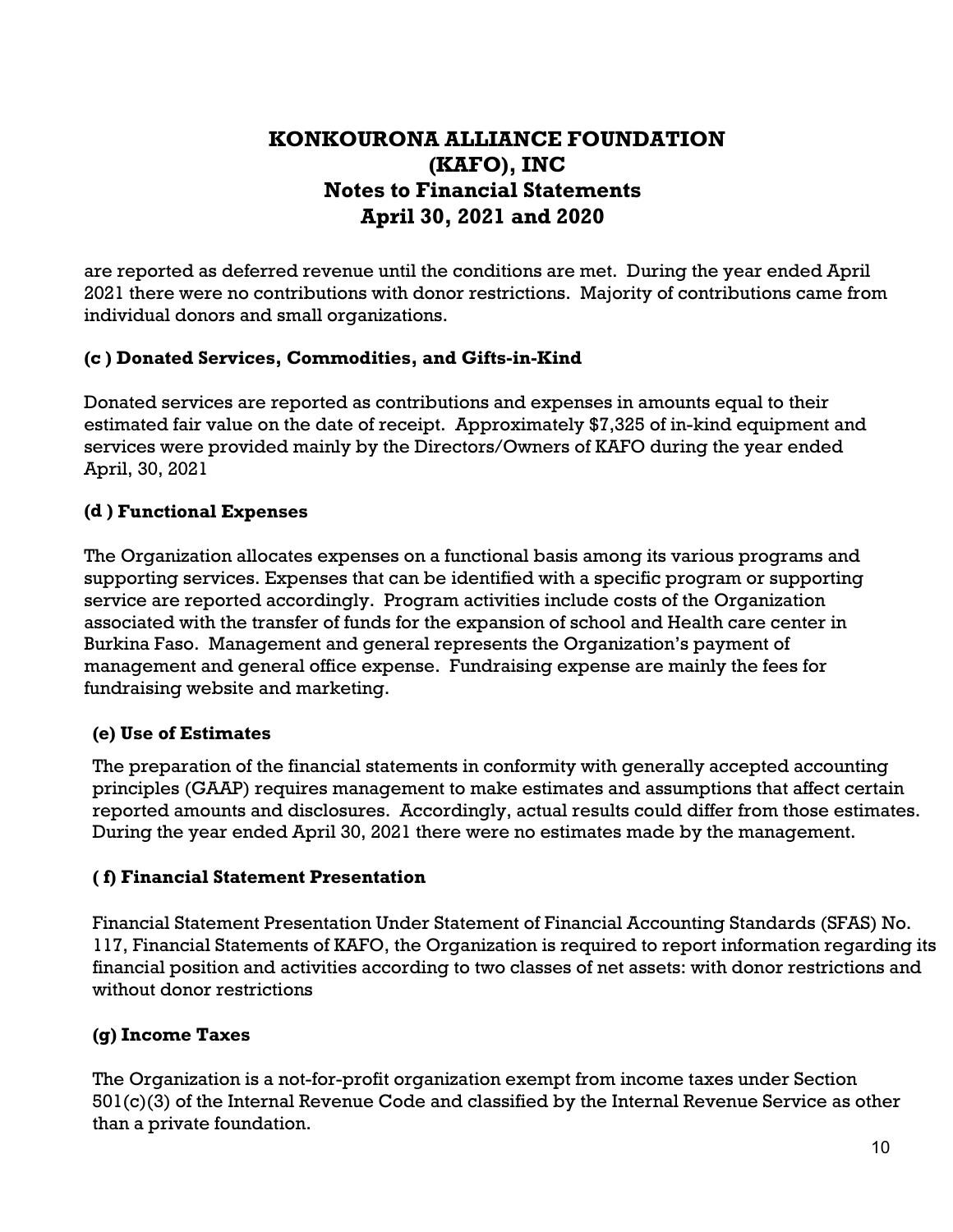are reported as deferred revenue until the conditions are met. During the year ended April 2021 there were no contributions with donor restrictions. Majority of contributions came from individual donors and small organizations.

### **(c ) Donated Services, Commodities, and Gifts-in-Kind**

Donated services are reported as contributions and expenses in amounts equal to their estimated fair value on the date of receipt. Approximately \$7,325 of in-kind equipment and services were provided mainly by the Directors/Owners of KAFO during the year ended April, 30, 2021

### **(d ) Functional Expenses**

The Organization allocates expenses on a functional basis among its various programs and supporting services. Expenses that can be identified with a specific program or supporting service are reported accordingly. Program activities include costs of the Organization associated with the transfer of funds for the expansion of school and Health care center in Burkina Faso. Management and general represents the Organization's payment of management and general office expense. Fundraising expense are mainly the fees for fundraising website and marketing.

#### **(e) Use of Estimates**

The preparation of the financial statements in conformity with generally accepted accounting principles (GAAP) requires management to make estimates and assumptions that affect certain reported amounts and disclosures. Accordingly, actual results could differ from those estimates. During the year ended April 30, 2021 there were no estimates made by the management.

#### **( f) Financial Statement Presentation**

Financial Statement Presentation Under Statement of Financial Accounting Standards (SFAS) No. 117, Financial Statements of KAFO, the Organization is required to report information regarding its financial position and activities according to two classes of net assets: with donor restrictions and without donor restrictions

### **(g) Income Taxes**

The Organization is a not-for-profit organization exempt from income taxes under Section 501(c)(3) of the Internal Revenue Code and classified by the Internal Revenue Service as other than a private foundation.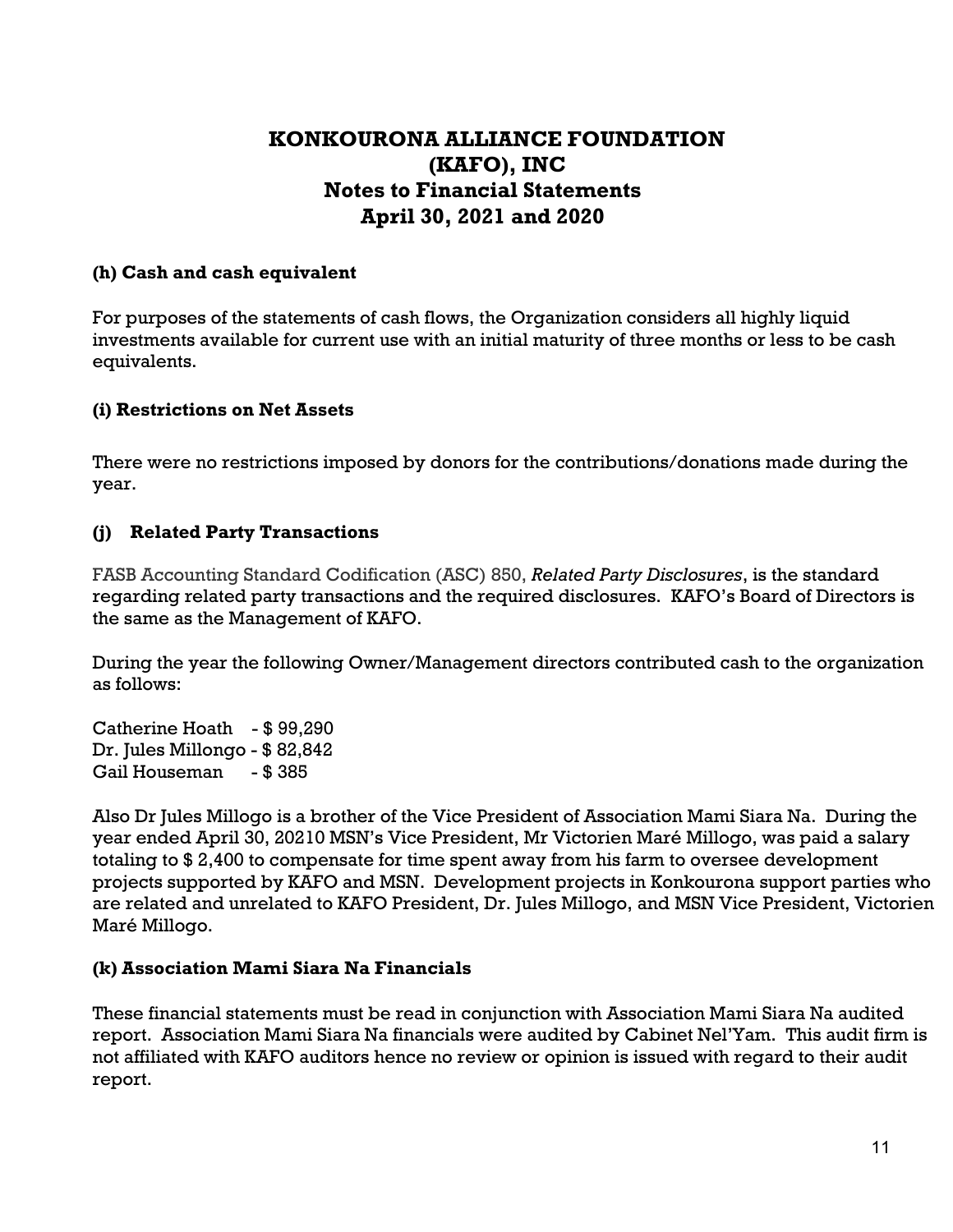#### **(h) Cash and cash equivalent**

For purposes of the statements of cash flows, the Organization considers all highly liquid investments available for current use with an initial maturity of three months or less to be cash equivalents.

### **(i) Restrictions on Net Assets**

There were no restrictions imposed by donors for the contributions/donations made during the year.

### **(j) Related Party Transactions**

FASB Accounting Standard Codification (ASC) 850, *Related Party Disclosures*, is the standard regarding related party transactions and the required disclosures. KAFO's Board of Directors is the same as the Management of KAFO.

During the year the following Owner/Management directors contributed cash to the organization as follows:

Catherine Hoath - \$ 99,290 Dr. Jules Millongo - \$ 82,842 Gail Houseman - \$ 385

Also Dr Jules Millogo is a brother of the Vice President of Association Mami Siara Na. During the year ended April 30, 20210 MSN's Vice President, Mr Victorien Maré Millogo, was paid a salary totaling to \$ 2,400 to compensate for time spent away from his farm to oversee development projects supported by KAFO and MSN. Development projects in Konkourona support parties who are related and unrelated to KAFO President, Dr. Jules Millogo, and MSN Vice President, Victorien Maré Millogo.

### **(k) Association Mami Siara Na Financials**

These financial statements must be read in conjunction with Association Mami Siara Na audited report. Association Mami Siara Na financials were audited by Cabinet Nel'Yam. This audit firm is not affiliated with KAFO auditors hence no review or opinion is issued with regard to their audit report.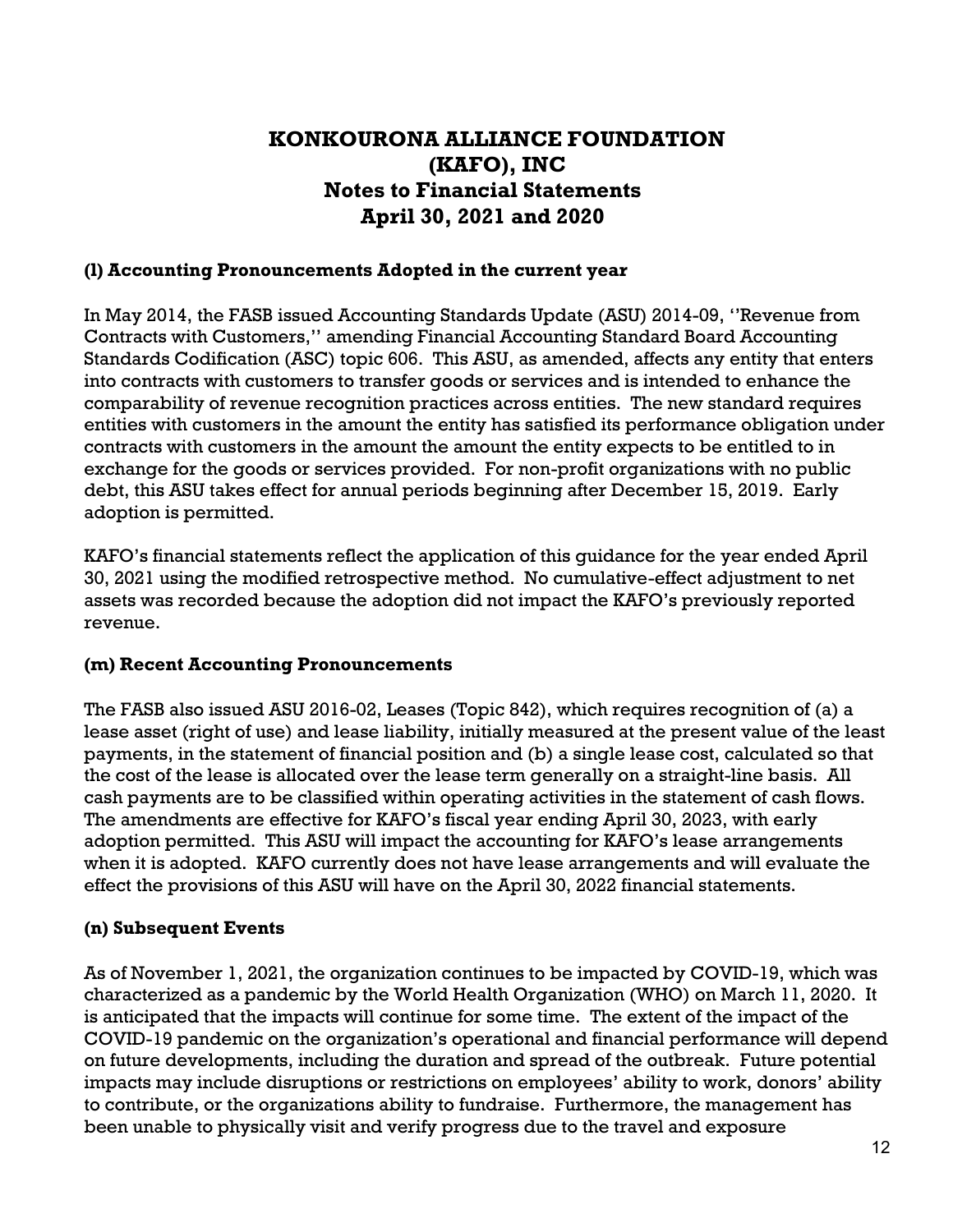#### **(l) Accounting Pronouncements Adopted in the current year**

In May 2014, the FASB issued Accounting Standards Update (ASU) 2014-09, ''Revenue from Contracts with Customers,'' amending Financial Accounting Standard Board Accounting Standards Codification (ASC) topic 606. This ASU, as amended, affects any entity that enters into contracts with customers to transfer goods or services and is intended to enhance the comparability of revenue recognition practices across entities. The new standard requires entities with customers in the amount the entity has satisfied its performance obligation under contracts with customers in the amount the amount the entity expects to be entitled to in exchange for the goods or services provided. For non-profit organizations with no public debt, this ASU takes effect for annual periods beginning after December 15, 2019. Early adoption is permitted.

KAFO's financial statements reflect the application of this guidance for the year ended April 30, 2021 using the modified retrospective method. No cumulative-effect adjustment to net assets was recorded because the adoption did not impact the KAFO's previously reported revenue.

#### **(m) Recent Accounting Pronouncements**

The FASB also issued ASU 2016-02, Leases (Topic 842), which requires recognition of (a) a lease asset (right of use) and lease liability, initially measured at the present value of the least payments, in the statement of financial position and (b) a single lease cost, calculated so that the cost of the lease is allocated over the lease term generally on a straight-line basis. All cash payments are to be classified within operating activities in the statement of cash flows. The amendments are effective for KAFO's fiscal year ending April 30, 2023, with early adoption permitted. This ASU will impact the accounting for KAFO's lease arrangements when it is adopted. KAFO currently does not have lease arrangements and will evaluate the effect the provisions of this ASU will have on the April 30, 2022 financial statements.

#### **(n) Subsequent Events**

As of November 1, 2021, the organization continues to be impacted by COVID-19, which was characterized as a pandemic by the World Health Organization (WHO) on March 11, 2020. It is anticipated that the impacts will continue for some time. The extent of the impact of the COVID-19 pandemic on the organization's operational and financial performance will depend on future developments, including the duration and spread of the outbreak. Future potential impacts may include disruptions or restrictions on employees' ability to work, donors' ability to contribute, or the organizations ability to fundraise. Furthermore, the management has been unable to physically visit and verify progress due to the travel and exposure